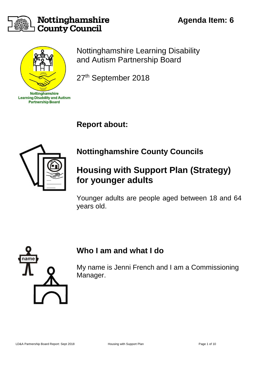

#### Nottinghamshire **County Council**



Nottinghamshire Learning Disability and Autism Partnership Board

27<sup>th</sup> September 2018

**Report about:** 



# **Nottinghamshire County Councils**

# **Housing with Support Plan (Strategy) for younger adults**

Younger adults are people aged between 18 and 64 years old.



### **Who I am and what I do**

My name is Jenni French and I am a Commissioning Manager.

**Agenda Item: 6**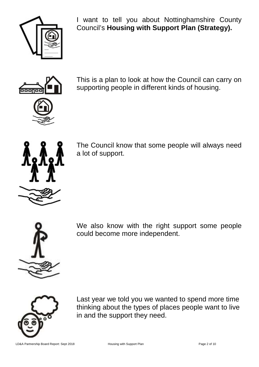

I want to tell you about Nottinghamshire County Council's **Housing with Support Plan (Strategy).**



This is a plan to look at how the Council can carry on supporting people in different kinds of housing.



The Council know that some people will always need a lot of support.



We also know with the right support some people could become more independent.



Last year we told you we wanted to spend more time thinking about the types of places people want to live in and the support they need.

LD&A Partnership Board Report: Sept 2018 Housing with Support Plan Page 2 of 10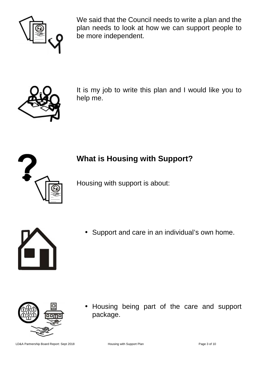

We said that the Council needs to write a plan and the plan needs to look at how we can support people to be more independent.



It is my job to write this plan and I would like you to help me.



## **What is Housing with Support?**

Housing with support is about:



Support and care in an individual's own home.



• Housing being part of the care and support package.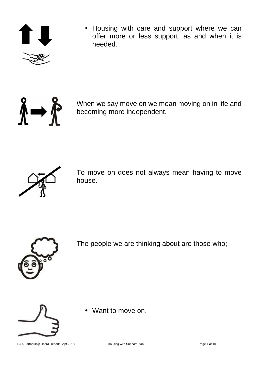

• Housing with care and support where we can offer more or less support, as and when it is needed.



When we say move on we mean moving on in life and becoming more independent.



To move on does not always mean having to move house.



The people we are thinking about are those who;



• Want to move on.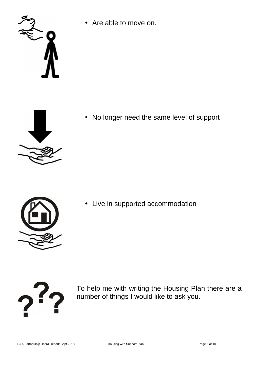

• Are able to move on.



• No longer need the same level of support



• Live in supported accommodation



To help me with writing the Housing Plan there are a number of things I would like to ask you.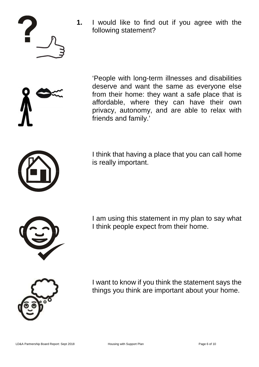

**1.** I would like to find out if you agree with the following statement?



 'People with long-term illnesses and disabilities deserve and want the same as everyone else from their home: they want a safe place that is affordable, where they can have their own privacy, autonomy, and are able to relax with friends and family.'



 I think that having a place that you can call home is really important.



 I am using this statement in my plan to say what I think people expect from their home.



 I want to know if you think the statement says the things you think are important about your home.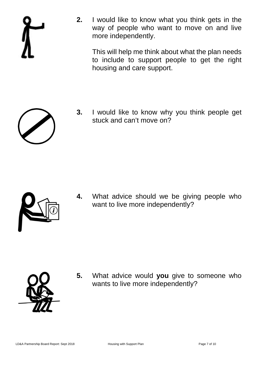

**2.** I would like to know what you think gets in the way of people who want to move on and live more independently.

 This will help me think about what the plan needs to include to support people to get the right housing and care support.



**3.** I would like to know why you think people get stuck and can't move on?



**4.** What advice should we be giving people who want to live more independently?



**5.** What advice would **you** give to someone who wants to live more independently?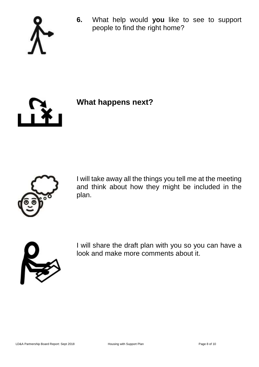

**6.** What help would **you** like to see to support people to find the right home?



**What happens next?**



I will take away all the things you tell me at the meeting and think about how they might be included in the plan.



I will share the draft plan with you so you can have a look and make more comments about it.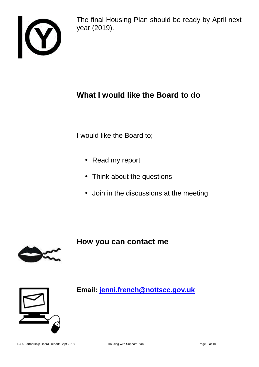

The final Housing Plan should be ready by April next year (2019).

## **What I would like the Board to do**

I would like the Board to;

- Read my report
- Think about the questions
- Join in the discussions at the meeting

**How you can contact me**





**Email: jenni.french@nottscc.gov.uk**